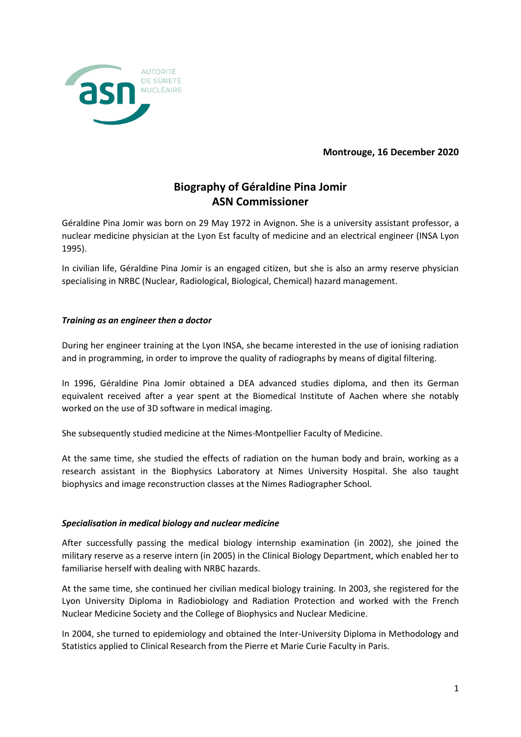

**Montrouge, 16 December 2020**

# **Biography of Géraldine Pina Jomir ASN Commissioner**

Géraldine Pina Jomir was born on 29 May 1972 in Avignon. She is a university assistant professor, a nuclear medicine physician at the Lyon Est faculty of medicine and an electrical engineer (INSA Lyon 1995).

In civilian life, Géraldine Pina Jomir is an engaged citizen, but she is also an army reserve physician specialising in NRBC (Nuclear, Radiological, Biological, Chemical) hazard management.

## *Training as an engineer then a doctor*

During her engineer training at the Lyon INSA, she became interested in the use of ionising radiation and in programming, in order to improve the quality of radiographs by means of digital filtering.

In 1996, Géraldine Pina Jomir obtained a DEA advanced studies diploma, and then its German equivalent received after a year spent at the Biomedical Institute of Aachen where she notably worked on the use of 3D software in medical imaging.

She subsequently studied medicine at the Nimes-Montpellier Faculty of Medicine.

At the same time, she studied the effects of radiation on the human body and brain, working as a research assistant in the Biophysics Laboratory at Nimes University Hospital. She also taught biophysics and image reconstruction classes at the Nimes Radiographer School.

## *Specialisation in medical biology and nuclear medicine*

After successfully passing the medical biology internship examination (in 2002), she joined the military reserve as a reserve intern (in 2005) in the Clinical Biology Department, which enabled her to familiarise herself with dealing with NRBC hazards.

At the same time, she continued her civilian medical biology training. In 2003, she registered for the Lyon University Diploma in Radiobiology and Radiation Protection and worked with the French Nuclear Medicine Society and the College of Biophysics and Nuclear Medicine.

In 2004, she turned to epidemiology and obtained the Inter-University Diploma in Methodology and Statistics applied to Clinical Research from the Pierre et Marie Curie Faculty in Paris.